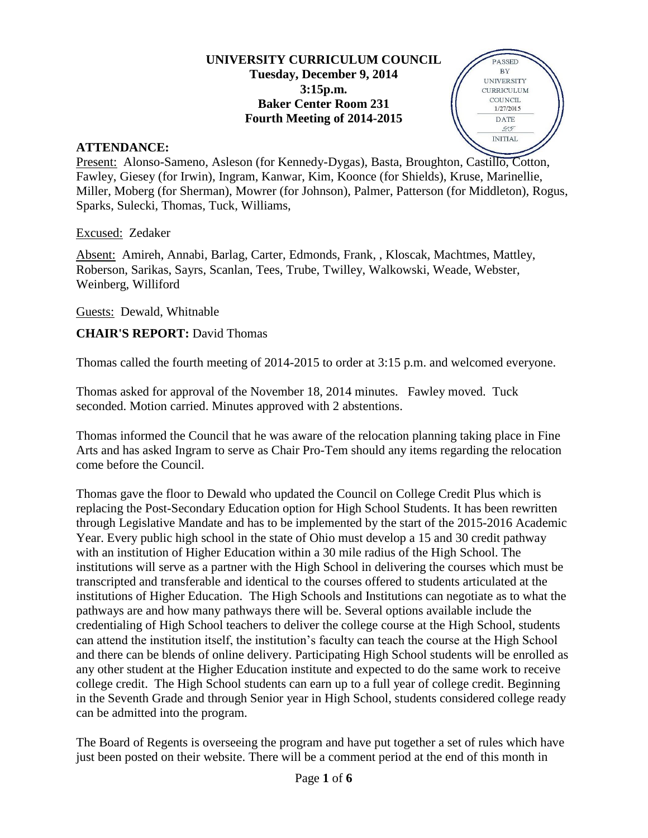### **UNIVERSITY CURRICULUM COUNCIL Tuesday, December 9, 2014 3:15p.m. Baker Center Room 231 Fourth Meeting of 2014-2015**

#### **ATTENDANCE:**



Present: Alonso-Sameno, Asleson (for Kennedy-Dygas), Basta, Broughton, Castillo, Cotton, Fawley, Giesey (for Irwin), Ingram, Kanwar, Kim, Koonce (for Shields), Kruse, Marinellie, Miller, Moberg (for Sherman), Mowrer (for Johnson), Palmer, Patterson (for Middleton), Rogus, Sparks, Sulecki, Thomas, Tuck, Williams,

Excused: Zedaker

Absent: Amireh, Annabi, Barlag, Carter, Edmonds, Frank, , Kloscak, Machtmes, Mattley, Roberson, Sarikas, Sayrs, Scanlan, Tees, Trube, Twilley, Walkowski, Weade, Webster, Weinberg, Williford

Guests: Dewald, Whitnable

**CHAIR'S REPORT:** David Thomas

Thomas called the fourth meeting of 2014-2015 to order at 3:15 p.m. and welcomed everyone.

Thomas asked for approval of the November 18, 2014 minutes. Fawley moved. Tuck seconded. Motion carried. Minutes approved with 2 abstentions.

Thomas informed the Council that he was aware of the relocation planning taking place in Fine Arts and has asked Ingram to serve as Chair Pro-Tem should any items regarding the relocation come before the Council.

Thomas gave the floor to Dewald who updated the Council on College Credit Plus which is replacing the Post-Secondary Education option for High School Students. It has been rewritten through Legislative Mandate and has to be implemented by the start of the 2015-2016 Academic Year. Every public high school in the state of Ohio must develop a 15 and 30 credit pathway with an institution of Higher Education within a 30 mile radius of the High School. The institutions will serve as a partner with the High School in delivering the courses which must be transcripted and transferable and identical to the courses offered to students articulated at the institutions of Higher Education. The High Schools and Institutions can negotiate as to what the pathways are and how many pathways there will be. Several options available include the credentialing of High School teachers to deliver the college course at the High School, students can attend the institution itself, the institution's faculty can teach the course at the High School and there can be blends of online delivery. Participating High School students will be enrolled as any other student at the Higher Education institute and expected to do the same work to receive college credit. The High School students can earn up to a full year of college credit. Beginning in the Seventh Grade and through Senior year in High School, students considered college ready can be admitted into the program.

The Board of Regents is overseeing the program and have put together a set of rules which have just been posted on their website. There will be a comment period at the end of this month in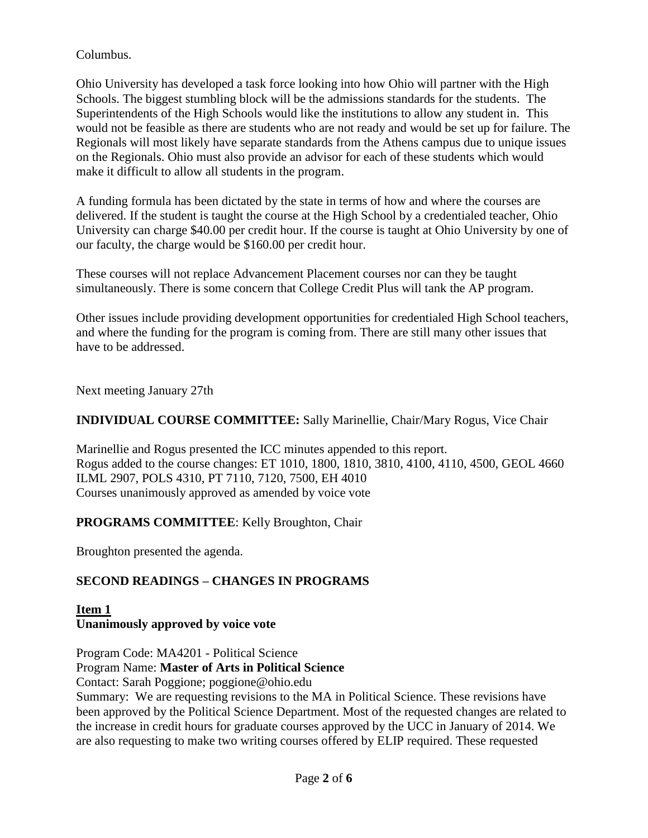Columbus.

Ohio University has developed a task force looking into how Ohio will partner with the High Schools. The biggest stumbling block will be the admissions standards for the students. The Superintendents of the High Schools would like the institutions to allow any student in. This would not be feasible as there are students who are not ready and would be set up for failure. The Regionals will most likely have separate standards from the Athens campus due to unique issues on the Regionals. Ohio must also provide an advisor for each of these students which would make it difficult to allow all students in the program.

A funding formula has been dictated by the state in terms of how and where the courses are delivered. If the student is taught the course at the High School by a credentialed teacher, Ohio University can charge \$40.00 per credit hour. If the course is taught at Ohio University by one of our faculty, the charge would be \$160.00 per credit hour.

These courses will not replace Advancement Placement courses nor can they be taught simultaneously. There is some concern that College Credit Plus will tank the AP program.

Other issues include providing development opportunities for credentialed High School teachers, and where the funding for the program is coming from. There are still many other issues that have to be addressed.

Next meeting January 27th

## **INDIVIDUAL COURSE COMMITTEE:** Sally Marinellie, Chair/Mary Rogus, Vice Chair

Marinellie and Rogus presented the ICC minutes appended to this report. Rogus added to the course changes: ET 1010, 1800, 1810, 3810, 4100, 4110, 4500, GEOL 4660 ILML 2907, POLS 4310, PT 7110, 7120, 7500, EH 4010 Courses unanimously approved as amended by voice vote

## **PROGRAMS COMMITTEE**: Kelly Broughton, Chair

Broughton presented the agenda.

## **SECOND READINGS – CHANGES IN PROGRAMS**

### **Item 1 Unanimously approved by voice vote**

Program Code: MA4201 - Political Science Program Name: **Master of Arts in Political Science**

Contact: Sarah Poggione; poggione@ohio.edu

Summary: We are requesting revisions to the MA in Political Science. These revisions have been approved by the Political Science Department. Most of the requested changes are related to the increase in credit hours for graduate courses approved by the UCC in January of 2014. We are also requesting to make two writing courses offered by ELIP required. These requested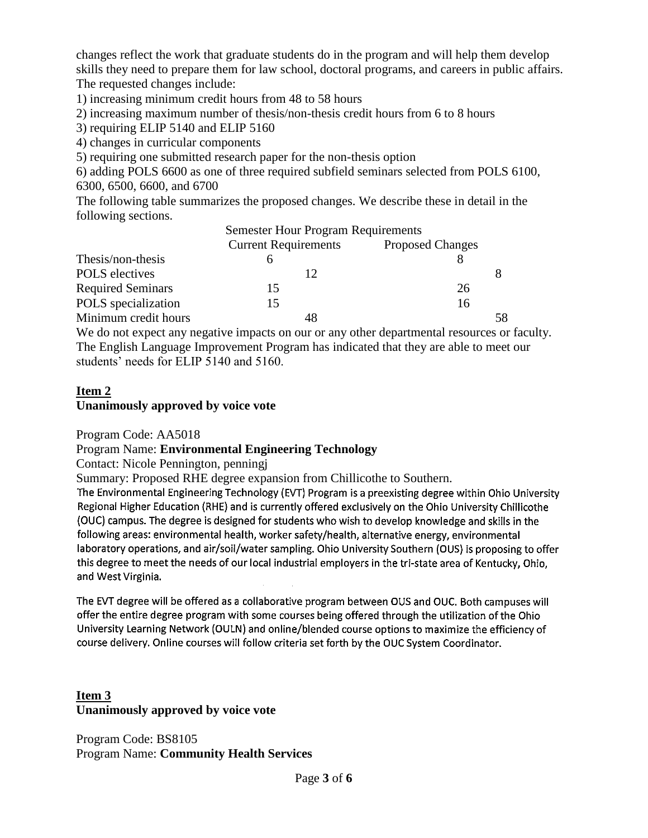changes reflect the work that graduate students do in the program and will help them develop skills they need to prepare them for law school, doctoral programs, and careers in public affairs. The requested changes include:

1) increasing minimum credit hours from 48 to 58 hours

2) increasing maximum number of thesis/non-thesis credit hours from 6 to 8 hours

3) requiring ELIP 5140 and ELIP 5160

4) changes in curricular components

5) requiring one submitted research paper for the non-thesis option

6) adding POLS 6600 as one of three required subfield seminars selected from POLS 6100, 6300, 6500, 6600, and 6700

The following table summarizes the proposed changes. We describe these in detail in the following sections.

|                          | <b>Semester Hour Program Requirements</b> |                         |
|--------------------------|-------------------------------------------|-------------------------|
|                          | <b>Current Requirements</b>               | <b>Proposed Changes</b> |
| Thesis/non-thesis        |                                           |                         |
| <b>POLS</b> electives    | 12                                        |                         |
| <b>Required Seminars</b> | 15                                        | 26                      |
| POLS specialization      | 15                                        | 16                      |
| Minimum credit hours     | 48                                        | 58                      |

We do not expect any negative impacts on our or any other departmental resources or faculty. The English Language Improvement Program has indicated that they are able to meet our students' needs for ELIP 5140 and 5160.

### **Item 2 Unanimously approved by voice vote**

Program Code: AA5018

### Program Name: **Environmental Engineering Technology**

Contact: Nicole Pennington, penningj

Summary: Proposed RHE degree expansion from Chillicothe to Southern.

The Environmental Engineering Technology (EVT) Program is a preexisting degree within Ohio University Regional Higher Education (RHE) and is currently offered exclusively on the Ohio University Chillicothe (OUC) campus. The degree is designed for students who wish to develop knowledge and skills in the following areas: environmental health, worker safety/health, alternative energy, environmental laboratory operations, and air/soil/water sampling. Ohio University Southern (OUS) is proposing to offer this degree to meet the needs of our local industrial employers in the tri-state area of Kentucky, Ohio, and West Virginia.

The EVT degree will be offered as a collaborative program between OUS and OUC, Both campuses will offer the entire degree program with some courses being offered through the utilization of the Ohio University Learning Network (OULN) and online/blended course options to maximize the efficiency of course delivery. Online courses will follow criteria set forth by the OUC System Coordinator.

## **Item 3 Unanimously approved by voice vote**

Program Code: BS8105 Program Name: **Community Health Services**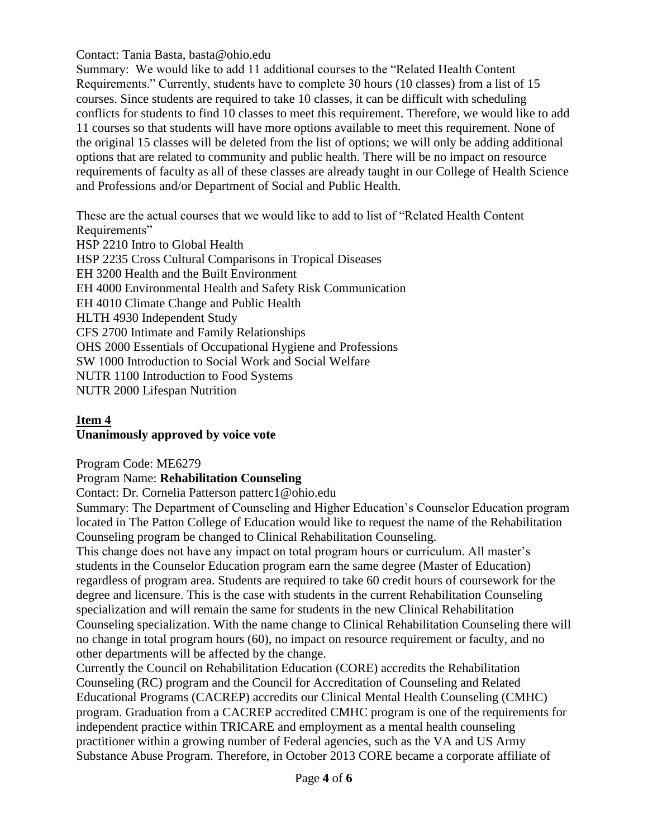Contact: Tania Basta, basta@ohio.edu

Summary: We would like to add 11 additional courses to the "Related Health Content Requirements." Currently, students have to complete 30 hours (10 classes) from a list of 15 courses. Since students are required to take 10 classes, it can be difficult with scheduling conflicts for students to find 10 classes to meet this requirement. Therefore, we would like to add 11 courses so that students will have more options available to meet this requirement. None of the original 15 classes will be deleted from the list of options; we will only be adding additional options that are related to community and public health. There will be no impact on resource requirements of faculty as all of these classes are already taught in our College of Health Science and Professions and/or Department of Social and Public Health.

These are the actual courses that we would like to add to list of "Related Health Content Requirements" HSP 2210 Intro to Global Health

HSP 2235 Cross Cultural Comparisons in Tropical Diseases EH 3200 Health and the Built Environment EH 4000 Environmental Health and Safety Risk Communication EH 4010 Climate Change and Public Health HLTH 4930 Independent Study CFS 2700 Intimate and Family Relationships OHS 2000 Essentials of Occupational Hygiene and Professions SW 1000 Introduction to Social Work and Social Welfare NUTR 1100 Introduction to Food Systems NUTR 2000 Lifespan Nutrition

# **Item 4**

# **Unanimously approved by voice vote**

Program Code: ME6279

## Program Name: **Rehabilitation Counseling**

Contact: Dr. Cornelia Patterson patterc1@ohio.edu

Summary: The Department of Counseling and Higher Education's Counselor Education program located in The Patton College of Education would like to request the name of the Rehabilitation Counseling program be changed to Clinical Rehabilitation Counseling.

This change does not have any impact on total program hours or curriculum. All master's students in the Counselor Education program earn the same degree (Master of Education) regardless of program area. Students are required to take 60 credit hours of coursework for the degree and licensure. This is the case with students in the current Rehabilitation Counseling specialization and will remain the same for students in the new Clinical Rehabilitation Counseling specialization. With the name change to Clinical Rehabilitation Counseling there will no change in total program hours (60), no impact on resource requirement or faculty, and no other departments will be affected by the change.

Currently the Council on Rehabilitation Education (CORE) accredits the Rehabilitation Counseling (RC) program and the Council for Accreditation of Counseling and Related Educational Programs (CACREP) accredits our Clinical Mental Health Counseling (CMHC) program. Graduation from a CACREP accredited CMHC program is one of the requirements for independent practice within TRICARE and employment as a mental health counseling practitioner within a growing number of Federal agencies, such as the VA and US Army Substance Abuse Program. Therefore, in October 2013 CORE became a corporate affiliate of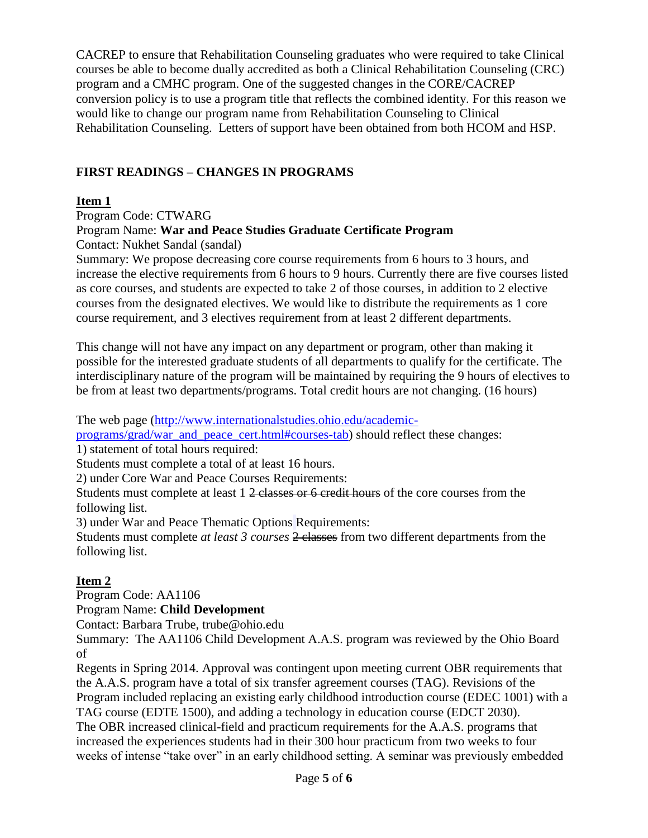CACREP to ensure that Rehabilitation Counseling graduates who were required to take Clinical courses be able to become dually accredited as both a Clinical Rehabilitation Counseling (CRC) program and a CMHC program. One of the suggested changes in the CORE/CACREP conversion policy is to use a program title that reflects the combined identity. For this reason we would like to change our program name from Rehabilitation Counseling to Clinical Rehabilitation Counseling. Letters of support have been obtained from both HCOM and HSP.

## **FIRST READINGS – CHANGES IN PROGRAMS**

### **Item 1**

Program Code: CTWARG

### Program Name: **War and Peace Studies Graduate Certificate Program**

Contact: Nukhet Sandal (sandal)

Summary: We propose decreasing core course requirements from 6 hours to 3 hours, and increase the elective requirements from 6 hours to 9 hours. Currently there are five courses listed as core courses, and students are expected to take 2 of those courses, in addition to 2 elective courses from the designated electives. We would like to distribute the requirements as 1 core course requirement, and 3 electives requirement from at least 2 different departments.

This change will not have any impact on any department or program, other than making it possible for the interested graduate students of all departments to qualify for the certificate. The interdisciplinary nature of the program will be maintained by requiring the 9 hours of electives to be from at least two departments/programs. Total credit hours are not changing. (16 hours)

The web page [\(http://www.internationalstudies.ohio.edu/academic-](http://www.internationalstudies.ohio.edu/academic-programs/grad/war_and_peace_cert.html#courses-tab)

[programs/grad/war\\_and\\_peace\\_cert.html#courses-tab\)](http://www.internationalstudies.ohio.edu/academic-programs/grad/war_and_peace_cert.html#courses-tab) should reflect these changes:

1) statement of total hours required:

Students must complete a total of at least 16 hours.

2) under Core War and Peace Courses Requirements:

Students must complete at least 1 2 classes or 6 credit hours of the core courses from the following list.

3) under War and Peace Thematic Options Requirements:

Students must complete *at least 3 courses* 2 classes from two different departments from the following list.

## **Item 2**

Program Code: AA1106

Program Name: **Child Development**

Contact: Barbara Trube, trube@ohio.edu

Summary: The AA1106 Child Development A.A.S. program was reviewed by the Ohio Board of

Regents in Spring 2014. Approval was contingent upon meeting current OBR requirements that the A.A.S. program have a total of six transfer agreement courses (TAG). Revisions of the Program included replacing an existing early childhood introduction course (EDEC 1001) with a TAG course (EDTE 1500), and adding a technology in education course (EDCT 2030). The OBR increased clinical-field and practicum requirements for the A.A.S. programs that increased the experiences students had in their 300 hour practicum from two weeks to four weeks of intense "take over" in an early childhood setting. A seminar was previously embedded